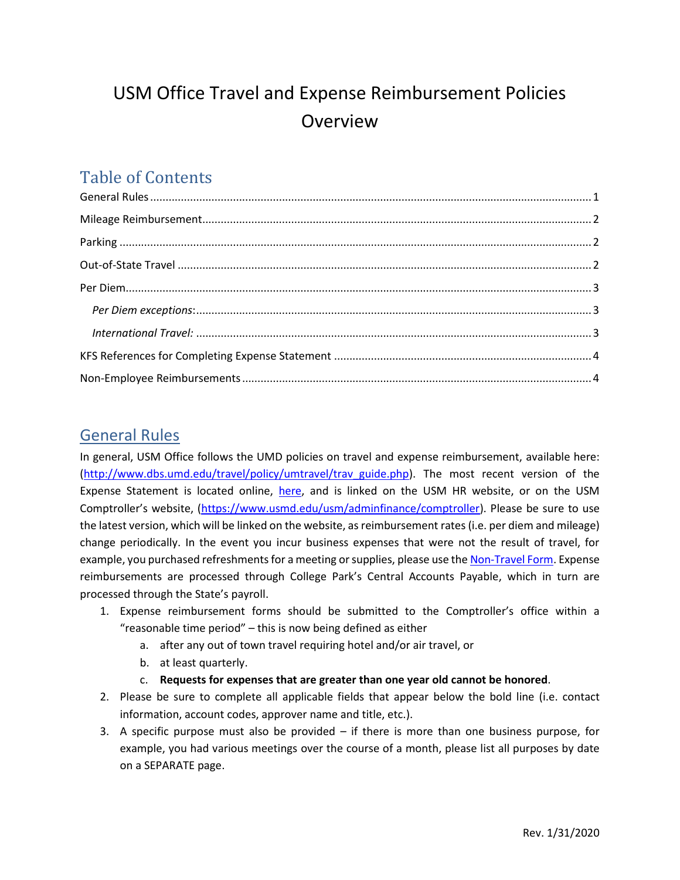# USM Office Travel and Expense Reimbursement Policies Overview

# Table of Contents

## <span id="page-0-0"></span>General Rules

In general, USM Office follows the UMD policies on travel and expense reimbursement, available here: [\(http://www.dbs.umd.edu/travel/policy/umtravel/trav\\_guide.php\)](http://www.dbs.umd.edu/travel/policy/umtravel/trav_guide.php). The most recent version of the Expense Statement is located online, [here,](https://www.usmd.edu/usm/adminfinance/EXPENSE_STATEMENT_FORM_FY20.xlsx) and is linked on the USM HR website, or on the USM Comptroller's website, ([https://www.usmd.edu/usm/adminfinance/comptroller\)](https://www.usmd.edu/usm/adminfinance/comptroller). Please be sure to use the latest version, which will be linked on the website, as reimbursement rates (i.e. per diem and mileage) change periodically. In the event you incur business expenses that were not the result of travel, for example, you purchased refreshments for a meeting or supplies, please use th[e Non-Travel Form.](https://www.usmd.edu/usm/adminfinance/Non_Travel_reimbursement_request_form.docx) Expense reimbursements are processed through College Park's Central Accounts Payable, which in turn are processed through the State's payroll.

- 1. Expense reimbursement forms should be submitted to the Comptroller's office within a "reasonable time period" – this is now being defined as either
	- a. after any out of town travel requiring hotel and/or air travel, or
	- b. at least quarterly.
	- c. **Requests for expenses that are greater than one year old cannot be honored**.
- 2. Please be sure to complete all applicable fields that appear below the bold line (i.e. contact information, account codes, approver name and title, etc.).
- 3. A specific purpose must also be provided if there is more than one business purpose, for example, you had various meetings over the course of a month, please list all purposes by date on a SEPARATE page.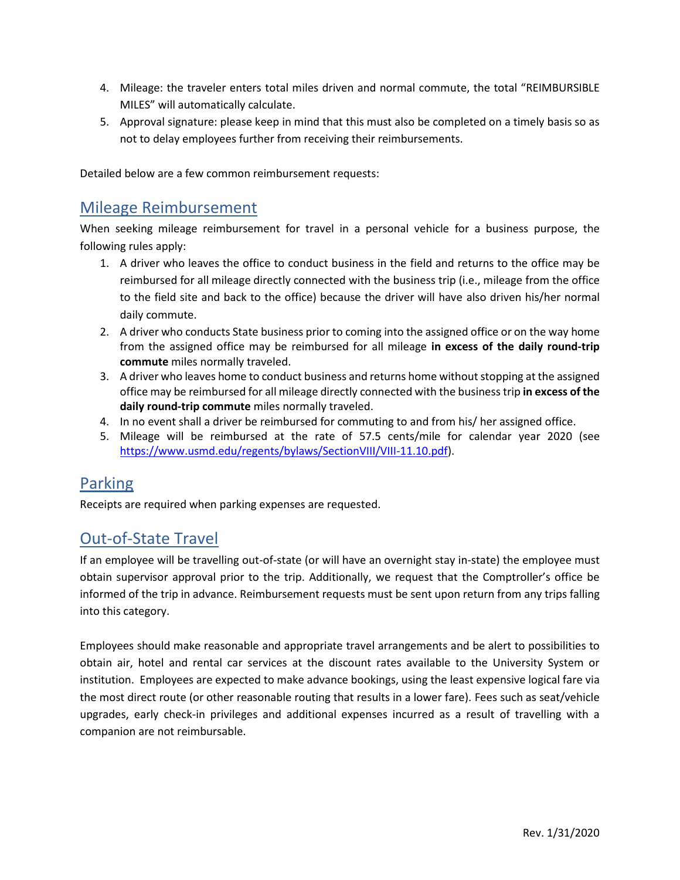- 4. Mileage: the traveler enters total miles driven and normal commute, the total "REIMBURSIBLE MILES" will automatically calculate.
- 5. Approval signature: please keep in mind that this must also be completed on a timely basis so as not to delay employees further from receiving their reimbursements.

<span id="page-1-0"></span>Detailed below are a few common reimbursement requests:

### Mileage Reimbursement

When seeking mileage reimbursement for travel in a personal vehicle for a business purpose, the following rules apply:

- 1. A driver who leaves the office to conduct business in the field and returns to the office may be reimbursed for all mileage directly connected with the business trip (i.e., mileage from the office to the field site and back to the office) because the driver will have also driven his/her normal daily commute.
- 2. A driver who conducts State business prior to coming into the assigned office or on the way home from the assigned office may be reimbursed for all mileage **in excess of the daily round-trip commute** miles normally traveled.
- 3. A driver who leaves home to conduct business and returns home without stopping at the assigned office may be reimbursed for all mileage directly connected with the business trip **in excess of the daily round-trip commute** miles normally traveled.
- 4. In no event shall a driver be reimbursed for commuting to and from his/ her assigned office.
- 5. Mileage will be reimbursed at the rate of 57.5 cents/mile for calendar year 2020 (see [https://www.usmd.edu/regents/bylaws/SectionVIII/VIII-11.10.pdf\)](https://www.usmd.edu/regents/bylaws/SectionVIII/VIII-11.10.pdf).

### <span id="page-1-1"></span>Parking

Receipts are required when parking expenses are requested.

# <span id="page-1-2"></span>Out-of-State Travel

If an employee will be travelling out-of-state (or will have an overnight stay in-state) the employee must obtain supervisor approval prior to the trip. Additionally, we request that the Comptroller's office be informed of the trip in advance. Reimbursement requests must be sent upon return from any trips falling into this category.

Employees should make reasonable and appropriate travel arrangements and be alert to possibilities to obtain air, hotel and rental car services at the discount rates available to the University System or institution. Employees are expected to make advance bookings, using the least expensive logical fare via the most direct route (or other reasonable routing that results in a lower fare). Fees such as seat/vehicle upgrades, early check-in privileges and additional expenses incurred as a result of travelling with a companion are not reimbursable.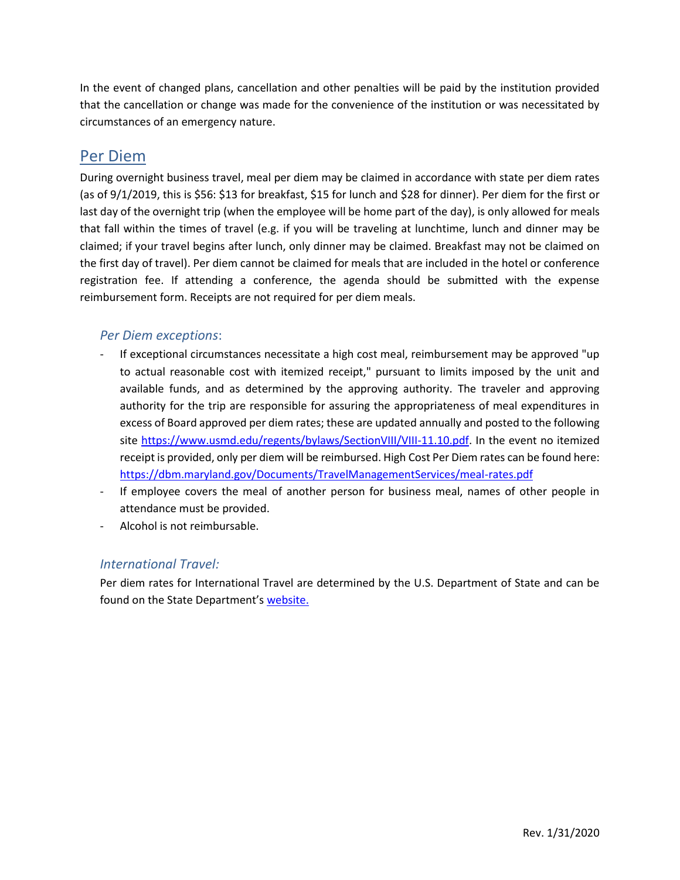In the event of changed plans, cancellation and other penalties will be paid by the institution provided that the cancellation or change was made for the convenience of the institution or was necessitated by circumstances of an emergency nature.

#### <span id="page-2-0"></span>Per Diem

During overnight business travel, meal per diem may be claimed in accordance with state per diem rates (as of 9/1/2019, this is \$56: \$13 for breakfast, \$15 for lunch and \$28 for dinner). Per diem for the first or last day of the overnight trip (when the employee will be home part of the day), is only allowed for meals that fall within the times of travel (e.g. if you will be traveling at lunchtime, lunch and dinner may be claimed; if your travel begins after lunch, only dinner may be claimed. Breakfast may not be claimed on the first day of travel). Per diem cannot be claimed for meals that are included in the hotel or conference registration fee. If attending a conference, the agenda should be submitted with the expense reimbursement form. Receipts are not required for per diem meals.

#### <span id="page-2-1"></span>*Per Diem exceptions*:

- If exceptional circumstances necessitate a high cost meal, reimbursement may be approved "up to actual reasonable cost with itemized receipt," pursuant to limits imposed by the unit and available funds, and as determined by the approving authority. The traveler and approving authority for the trip are responsible for assuring the appropriateness of meal expenditures in excess of Board approved per diem rates; these are updated annually and posted to the following site [https://www.usmd.edu/regents/bylaws/SectionVIII/VIII-11.10.pdf.](https://www.usmd.edu/regents/bylaws/SectionVIII/VIII-11.10.pdf) In the event no itemized receipt is provided, only per diem will be reimbursed. High Cost Per Diem rates can be found here: <https://dbm.maryland.gov/Documents/TravelManagementServices/meal-rates.pdf>
- If employee covers the meal of another person for business meal, names of other people in attendance must be provided.
- Alcohol is not reimbursable.

#### <span id="page-2-2"></span>*International Travel:*

Per diem rates for International Travel are determined by the U.S. Department of State and can be found on the State Department's [website.](https://aoprals.state.gov/web920/per_diem.asp)